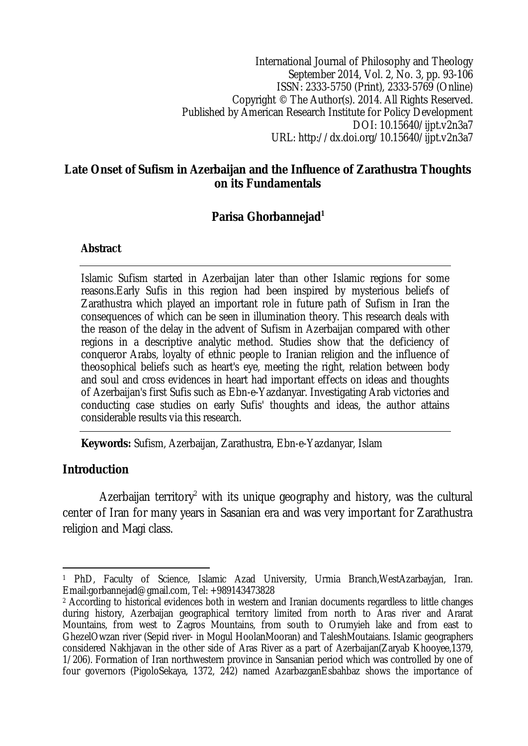International Journal of Philosophy and Theology September 2014, Vol. 2, No. 3, pp. 93-106 ISSN: 2333-5750 (Print), 2333-5769 (Online) Copyright © The Author(s). 2014. All Rights Reserved. Published by American Research Institute for Policy Development DOI: 10.15640/ijpt.v2n3a7 URL: http://dx.doi.org/10.15640/ijpt.v2n3a7

#### **Late Onset of Sufism in Azerbaijan and the Influence of Zarathustra Thoughts on its Fundamentals**

# **Parisa Ghorbannejad<sup>1</sup>**

#### **Abstract**

Islamic Sufism started in Azerbaijan later than other Islamic regions for some reasons.Early Sufis in this region had been inspired by mysterious beliefs of Zarathustra which played an important role in future path of Sufism in Iran the consequences of which can be seen in illumination theory. This research deals with the reason of the delay in the advent of Sufism in Azerbaijan compared with other regions in a descriptive analytic method. Studies show that the deficiency of conqueror Arabs, loyalty of ethnic people to Iranian religion and the influence of theosophical beliefs such as heart's eye, meeting the right, relation between body and soul and cross evidences in heart had important effects on ideas and thoughts of Azerbaijan's first Sufis such as Ebn-e-Yazdanyar. Investigating Arab victories and conducting case studies on early Sufis' thoughts and ideas, the author attains considerable results via this research.

**Keywords:** Sufism, Azerbaijan, Zarathustra, Ebn-e-Yazdanyar, Islam

### **Introduction**

Azerbaijan territory<sup>2</sup> with its unique geography and history, was the cultural center of Iran for many years in Sasanian era and was very important for Zarathustra religion and Magi class.

 $\overline{a}$ <sup>1</sup> PhD, Faculty of Science, Islamic Azad University, Urmia Branch,WestAzarbayjan, Iran. Email:gorbannejad@gmail.com, Tel: +989143473828

<sup>2</sup> According to historical evidences both in western and Iranian documents regardless to little changes during history, Azerbaijan geographical territory limited from north to Aras river and Ararat Mountains, from west to Zagros Mountains, from south to Orumyieh lake and from east to GhezelOwzan river (Sepid river- in Mogul HoolanMooran) and TaleshMoutaians. Islamic geographers considered Nakhjavan in the other side of Aras River as a part of Azerbaijan(Zaryab Khooyee,1379, 1/206). Formation of Iran northwestern province in Sansanian period which was controlled by one of four governors (PigoloSekaya, 1372, 242) named AzarbazganEsbahbaz shows the importance of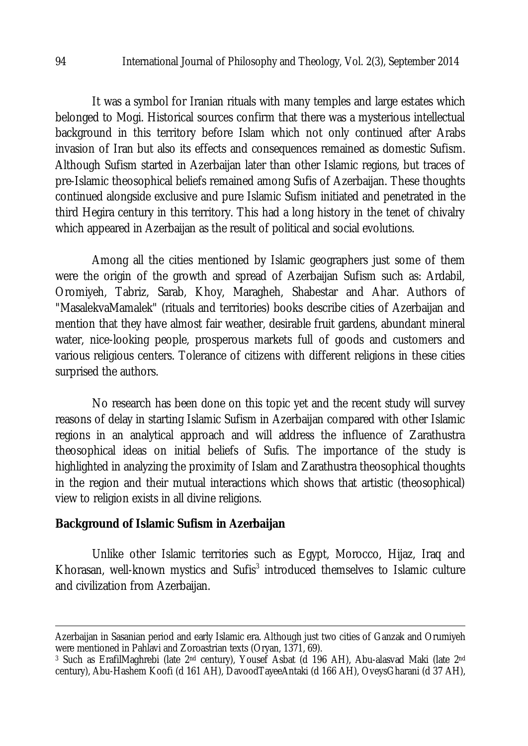It was a symbol for Iranian rituals with many temples and large estates which belonged to Mogi. Historical sources confirm that there was a mysterious intellectual background in this territory before Islam which not only continued after Arabs invasion of Iran but also its effects and consequences remained as domestic Sufism. Although Sufism started in Azerbaijan later than other Islamic regions, but traces of pre-Islamic theosophical beliefs remained among Sufis of Azerbaijan. These thoughts continued alongside exclusive and pure Islamic Sufism initiated and penetrated in the third Hegira century in this territory. This had a long history in the tenet of chivalry which appeared in Azerbaijan as the result of political and social evolutions.

Among all the cities mentioned by Islamic geographers just some of them were the origin of the growth and spread of Azerbaijan Sufism such as: Ardabil, Oromiyeh, Tabriz, Sarab, Khoy, Maragheh, Shabestar and Ahar. Authors of "MasalekvaMamalek" (rituals and territories) books describe cities of Azerbaijan and mention that they have almost fair weather, desirable fruit gardens, abundant mineral water, nice-looking people, prosperous markets full of goods and customers and various religious centers. Tolerance of citizens with different religions in these cities surprised the authors.

No research has been done on this topic yet and the recent study will survey reasons of delay in starting Islamic Sufism in Azerbaijan compared with other Islamic regions in an analytical approach and will address the influence of Zarathustra theosophical ideas on initial beliefs of Sufis. The importance of the study is highlighted in analyzing the proximity of Islam and Zarathustra theosophical thoughts in the region and their mutual interactions which shows that artistic (theosophical) view to religion exists in all divine religions.

### **Background of Islamic Sufism in Azerbaijan**

Unlike other Islamic territories such as Egypt, Morocco, Hijaz, Iraq and Khorasan, well-known mystics and Sufis<sup>3</sup> introduced themselves to Islamic culture and civilization from Azerbaijan.

 $\overline{\phantom{a}}$ 

Azerbaijan in Sasanian period and early Islamic era. Although just two cities of Ganzak and Orumiyeh were mentioned in Pahlavi and Zoroastrian texts (Oryan, 1371, 69).

<sup>&</sup>lt;sup>3</sup> Such as ErafilMaghrebi (late 2<sup>nd</sup> century), Yousef Asbat (d 196 AH), Abu-alasvad Maki (late 2<sup>nd</sup> century), Abu-Hashem Koofi (d 161 AH), DavoodTayeeAntaki (d 166 AH), OveysGharani (d 37 AH),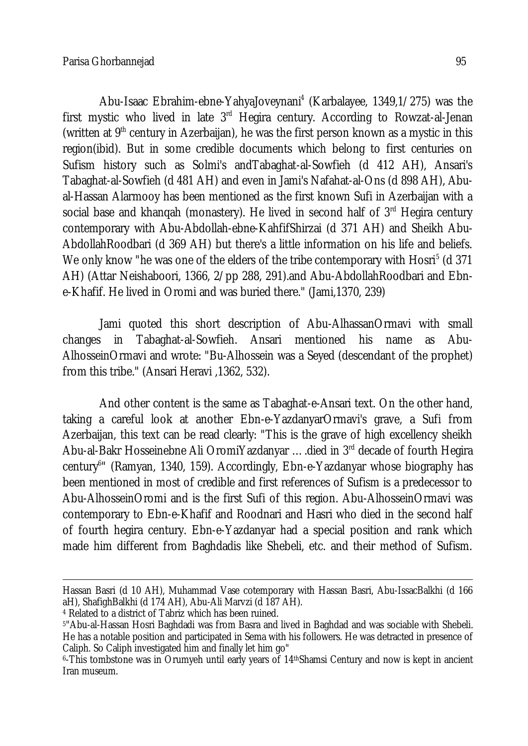Abu-Isaac Ebrahim-ebne-YahyaJoveynani<sup>4</sup> (Karbalayee, 1349,1/275) was the first mystic who lived in late  $3<sup>rd</sup>$  Hegira century. According to Rowzat-al-Jenan (written at  $9<sup>th</sup>$  century in Azerbaijan), he was the first person known as a mystic in this region(ibid). But in some credible documents which belong to first centuries on Sufism history such as Solmi's andTabaghat-al-Sowfieh (d 412 AH), Ansari's Tabaghat-al-Sowfieh (d 481 AH) and even in Jami's Nafahat-al-Ons (d 898 AH), Abual-Hassan Alarmooy has been mentioned as the first known Sufi in Azerbaijan with a social base and khanqah (monastery). He lived in second half of 3<sup>rd</sup> Hegira century contemporary with Abu-Abdollah-ebne-KahfifShirzai (d 371 AH) and Sheikh Abu-AbdollahRoodbari (d 369 AH) but there's a little information on his life and beliefs. We only know "he was one of the elders of the tribe contemporary with Hosri<sup>5</sup> (d 371 AH) (Attar Neishaboori, 1366, 2/pp 288, 291).and Abu-AbdollahRoodbari and Ebne-Khafif. He lived in Oromi and was buried there." (Jami,1370, 239)

Jami quoted this short description of Abu-AlhassanOrmavi with small changes in Tabaghat-al-Sowfieh. Ansari mentioned his name as Abu-AlhosseinOrmavi and wrote: "Bu-Alhossein was a Seyed (descendant of the prophet) from this tribe." (Ansari Heravi ,1362, 532).

And other content is the same as Tabaghat-e-Ansari text. On the other hand, taking a careful look at another Ebn-e-YazdanyarOrmavi's grave, a Sufi from Azerbaijan, this text can be read clearly: "This is the grave of high excellency sheikh Abu-al-Bakr Hosseinebne Ali OromiYazdanyar ....died in 3<sup>rd</sup> decade of fourth Hegira century<sup>6</sup>" (Ramyan, 1340, 159). Accordingly, Ebn-e-Yazdanyar whose biography has been mentioned in most of credible and first references of Sufism is a predecessor to Abu-AlhosseinOromi and is the first Sufi of this region. Abu-AlhosseinOrmavi was contemporary to Ebn-e-Khafif and Roodnari and Hasri who died in the second half of fourth hegira century. Ebn-e-Yazdanyar had a special position and rank which made him different from Baghdadis like Shebeli, etc. and their method of Sufism.

 $\overline{a}$ Hassan Basri (d 10 AH), Muhammad Vase cotemporary with Hassan Basri, Abu-IssacBalkhi (d 166 aH), ShafighBalkhi (d 174 AH), Abu-Ali Marvzi (d 187 AH).

<sup>4</sup> Related to a district of Tabriz which has been ruined.

<sup>5</sup>"Abu-al-Hassan Hosri Baghdadi was from Basra and lived in Baghdad and was sociable with Shebeli. He has a notable position and participated in Sema with his followers. He was detracted in presence of Caliph. So Caliph investigated him and finally let him go"

<sup>6</sup> -This tombstone was in Orumyeh until early years of 14thShamsi Century and now is kept in ancient Iran museum.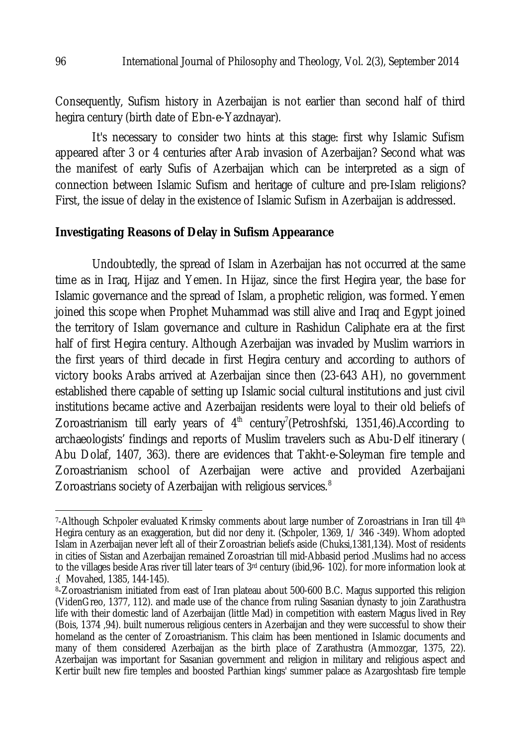Consequently, Sufism history in Azerbaijan is not earlier than second half of third hegira century (birth date of Ebn-e-Yazdnayar).

It's necessary to consider two hints at this stage: first why Islamic Sufism appeared after 3 or 4 centuries after Arab invasion of Azerbaijan? Second what was the manifest of early Sufis of Azerbaijan which can be interpreted as a sign of connection between Islamic Sufism and heritage of culture and pre-Islam religions? First, the issue of delay in the existence of Islamic Sufism in Azerbaijan is addressed.

## **Investigating Reasons of Delay in Sufism Appearance**

Undoubtedly, the spread of Islam in Azerbaijan has not occurred at the same time as in Iraq, Hijaz and Yemen. In Hijaz, since the first Hegira year, the base for Islamic governance and the spread of Islam, a prophetic religion, was formed. Yemen joined this scope when Prophet Muhammad was still alive and Iraq and Egypt joined the territory of Islam governance and culture in Rashidun Caliphate era at the first half of first Hegira century. Although Azerbaijan was invaded by Muslim warriors in the first years of third decade in first Hegira century and according to authors of victory books Arabs arrived at Azerbaijan since then (23-643 AH), no government established there capable of setting up Islamic social cultural institutions and just civil institutions became active and Azerbaijan residents were loyal to their old beliefs of Zoroastrianism till early years of  $4<sup>th</sup>$  century<sup>7</sup> (Petroshfski, 1351,46). According to archaeologists' findings and reports of Muslim travelers such as Abu-Delf itinerary ( Abu Dolaf, 1407, 363). there are evidences that Takht-e-Soleyman fire temple and Zoroastrianism school of Azerbaijan were active and provided Azerbaijani Zoroastrians society of Azerbaijan with religious services.<sup>8</sup>

 $\overline{\phantom{a}}$ 7 -Although Schpoler evaluated Krimsky comments about large number of Zoroastrians in Iran till 4th Hegira century as an exaggeration, but did nor deny it. (Schpoler, 1369, 1/ 346 -349). Whom adopted Islam in Azerbaijan never left all of their Zoroastrian beliefs aside (Chuksi,1381,134). Most of residents in cities of Sistan and Azerbaijan remained Zoroastrian till mid-Abbasid period .Muslims had no access to the villages beside Aras river till later tears of 3rd century (ibid, 96- 102). for more information look at :( Movahed, 1385, 144-145).

<sup>8</sup> -Zoroastrianism initiated from east of Iran plateau about 500-600 B.C. Magus supported this religion (VidenGreo, 1377, 112). and made use of the chance from ruling Sasanian dynasty to join Zarathustra life with their domestic land of Azerbaijan (little Mad) in competition with eastern Magus lived in Rey (Bois, 1374 ,94). built numerous religious centers in Azerbaijan and they were successful to show their homeland as the center of Zoroastrianism. This claim has been mentioned in Islamic documents and many of them considered Azerbaijan as the birth place of Zarathustra (Ammozgar, 1375, 22). Azerbaijan was important for Sasanian government and religion in military and religious aspect and Kertir built new fire temples and boosted Parthian kings' summer palace as Azargoshtasb fire temple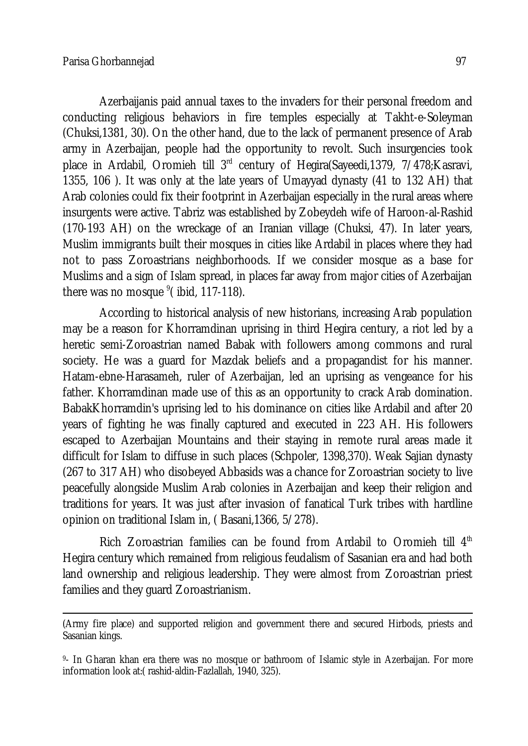Azerbaijanis paid annual taxes to the invaders for their personal freedom and conducting religious behaviors in fire temples especially at Takht-e-Soleyman (Chuksi,1381, 30). On the other hand, due to the lack of permanent presence of Arab army in Azerbaijan, people had the opportunity to revolt. Such insurgencies took place in Ardabil, Oromieh till 3rd century of Hegira(Sayeedi,1379, 7/478;Kasravi, 1355, 106 ). It was only at the late years of Umayyad dynasty (41 to 132 AH) that Arab colonies could fix their footprint in Azerbaijan especially in the rural areas where insurgents were active. Tabriz was established by Zobeydeh wife of Haroon-al-Rashid (170-193 AH) on the wreckage of an Iranian village (Chuksi, 47). In later years, Muslim immigrants built their mosques in cities like Ardabil in places where they had not to pass Zoroastrians neighborhoods. If we consider mosque as a base for Muslims and a sign of Islam spread, in places far away from major cities of Azerbaijan there was no mosque <sup>9</sup>(ibid, 117-118).

According to historical analysis of new historians, increasing Arab population may be a reason for Khorramdinan uprising in third Hegira century, a riot led by a heretic semi-Zoroastrian named Babak with followers among commons and rural society. He was a guard for Mazdak beliefs and a propagandist for his manner. Hatam-ebne-Harasameh, ruler of Azerbaijan, led an uprising as vengeance for his father. Khorramdinan made use of this as an opportunity to crack Arab domination. BabakKhorramdin's uprising led to his dominance on cities like Ardabil and after 20 years of fighting he was finally captured and executed in 223 AH. His followers escaped to Azerbaijan Mountains and their staying in remote rural areas made it difficult for Islam to diffuse in such places (Schpoler, 1398,370). Weak Sajian dynasty (267 to 317 AH) who disobeyed Abbasids was a chance for Zoroastrian society to live peacefully alongside Muslim Arab colonies in Azerbaijan and keep their religion and traditions for years. It was just after invasion of fanatical Turk tribes with hardline opinion on traditional Islam in, ( Basani,1366, 5/278).

Rich Zoroastrian families can be found from Ardabil to Oromieh till  $4<sup>th</sup>$ Hegira century which remained from religious feudalism of Sasanian era and had both land ownership and religious leadership. They were almost from Zoroastrian priest families and they guard Zoroastrianism.

 $\overline{a}$ (Army fire place) and supported religion and government there and secured Hirbods, priests and Sasanian kings.

<sup>9</sup> - In Gharan khan era there was no mosque or bathroom of Islamic style in Azerbaijan. For more information look at:( rashid-aldin-Fazlallah, 1940, 325).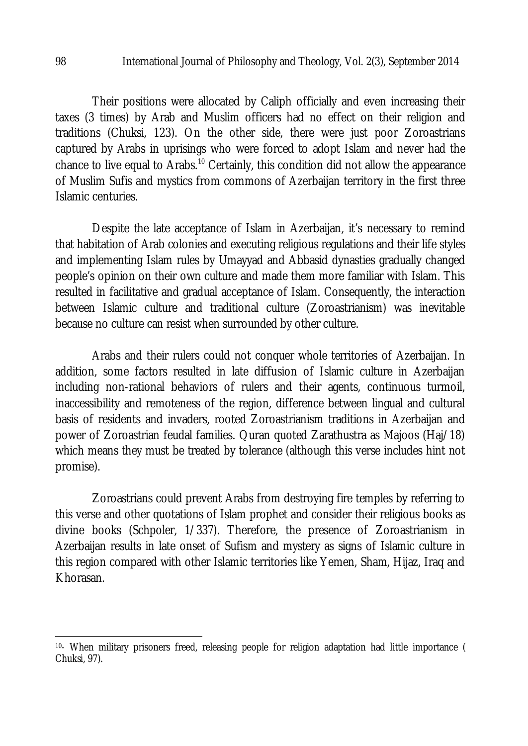Their positions were allocated by Caliph officially and even increasing their taxes (3 times) by Arab and Muslim officers had no effect on their religion and traditions (Chuksi, 123). On the other side, there were just poor Zoroastrians captured by Arabs in uprisings who were forced to adopt Islam and never had the chance to live equal to Arabs.<sup>10</sup> Certainly, this condition did not allow the appearance of Muslim Sufis and mystics from commons of Azerbaijan territory in the first three Islamic centuries.

Despite the late acceptance of Islam in Azerbaijan, it's necessary to remind that habitation of Arab colonies and executing religious regulations and their life styles and implementing Islam rules by Umayyad and Abbasid dynasties gradually changed people's opinion on their own culture and made them more familiar with Islam. This resulted in facilitative and gradual acceptance of Islam. Consequently, the interaction between Islamic culture and traditional culture (Zoroastrianism) was inevitable because no culture can resist when surrounded by other culture.

Arabs and their rulers could not conquer whole territories of Azerbaijan. In addition, some factors resulted in late diffusion of Islamic culture in Azerbaijan including non-rational behaviors of rulers and their agents, continuous turmoil, inaccessibility and remoteness of the region, difference between lingual and cultural basis of residents and invaders, rooted Zoroastrianism traditions in Azerbaijan and power of Zoroastrian feudal families. Quran quoted Zarathustra as Majoos (Haj/18) which means they must be treated by tolerance (although this verse includes hint not promise).

Zoroastrians could prevent Arabs from destroying fire temples by referring to this verse and other quotations of Islam prophet and consider their religious books as divine books (Schpoler, 1/337). Therefore, the presence of Zoroastrianism in Azerbaijan results in late onset of Sufism and mystery as signs of Islamic culture in this region compared with other Islamic territories like Yemen, Sham, Hijaz, Iraq and Khorasan.

 $\overline{a}$ 

<sup>10</sup>- When military prisoners freed, releasing people for religion adaptation had little importance ( Chuksi, 97).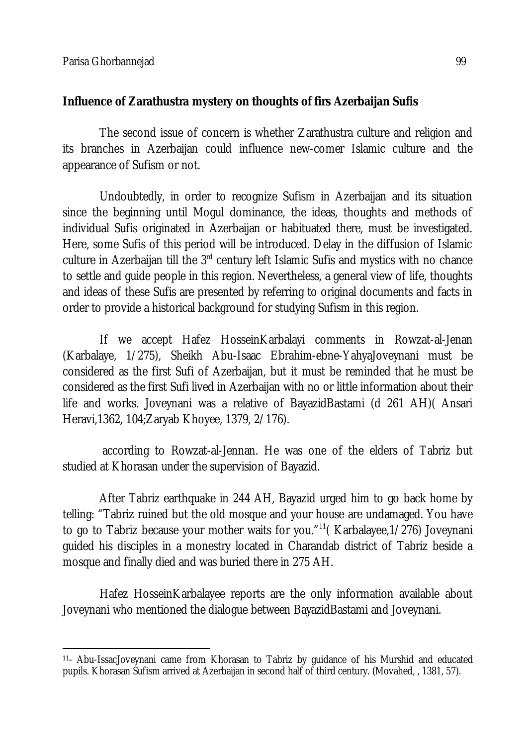### **Influence of Zarathustra mystery on thoughts of firs Azerbaijan Sufis**

The second issue of concern is whether Zarathustra culture and religion and its branches in Azerbaijan could influence new-comer Islamic culture and the appearance of Sufism or not.

Undoubtedly, in order to recognize Sufism in Azerbaijan and its situation since the beginning until Mogul dominance, the ideas, thoughts and methods of individual Sufis originated in Azerbaijan or habituated there, must be investigated. Here, some Sufis of this period will be introduced. Delay in the diffusion of Islamic culture in Azerbaijan till the 3<sup>rd</sup> century left Islamic Sufis and mystics with no chance to settle and guide people in this region. Nevertheless, a general view of life, thoughts and ideas of these Sufis are presented by referring to original documents and facts in order to provide a historical background for studying Sufism in this region.

If we accept Hafez HosseinKarbalayi comments in Rowzat-al-Jenan (Karbalaye, 1/275), Sheikh Abu-Isaac Ebrahim-ebne-YahyaJoveynani must be considered as the first Sufi of Azerbaijan, but it must be reminded that he must be considered as the first Sufi lived in Azerbaijan with no or little information about their life and works. Joveynani was a relative of BayazidBastami (d 261 AH)( Ansari Heravi,1362, 104;Zaryab Khoyee, 1379, 2/176).

according to Rowzat-al-Jennan. He was one of the elders of Tabriz but studied at Khorasan under the supervision of Bayazid.

After Tabriz earthquake in 244 AH, Bayazid urged him to go back home by telling: "Tabriz ruined but the old mosque and your house are undamaged. You have to go to Tabriz because your mother waits for you."<sup>11</sup>(Karbalayee, 1/276) Joveynani guided his disciples in a monestry located in Charandab district of Tabriz beside a mosque and finally died and was buried there in 275 AH.

Hafez HosseinKarbalayee reports are the only information available about Joveynani who mentioned the dialogue between BayazidBastami and Joveynani.

 $\overline{a}$ <sup>11</sup>- Abu-IssacJoveynani came from Khorasan to Tabriz by guidance of his Murshid and educated pupils. Khorasan Sufism arrived at Azerbaijan in second half of third century. (Movahed, , 1381, 57).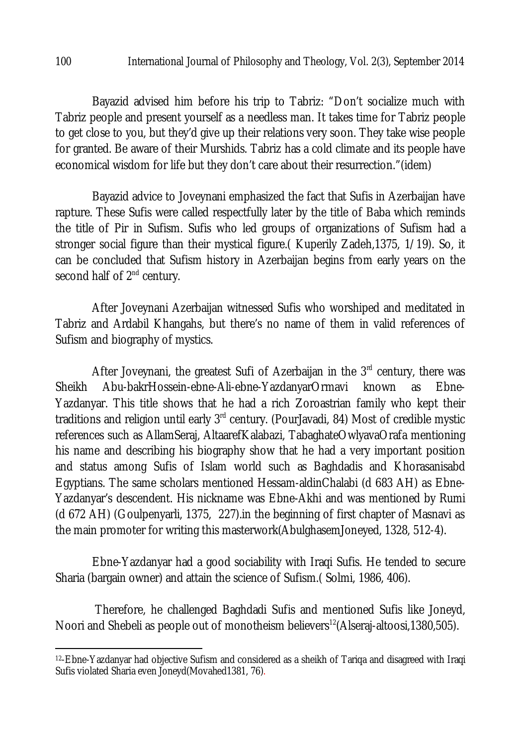Bayazid advised him before his trip to Tabriz: "Don't socialize much with Tabriz people and present yourself as a needless man. It takes time for Tabriz people to get close to you, but they'd give up their relations very soon. They take wise people for granted. Be aware of their Murshids. Tabriz has a cold climate and its people have economical wisdom for life but they don't care about their resurrection."(idem)

Bayazid advice to Joveynani emphasized the fact that Sufis in Azerbaijan have rapture. These Sufis were called respectfully later by the title of Baba which reminds the title of Pir in Sufism. Sufis who led groups of organizations of Sufism had a stronger social figure than their mystical figure.( Kuperily Zadeh,1375, 1/19). So, it can be concluded that Sufism history in Azerbaijan begins from early years on the second half of 2<sup>nd</sup> century.

After Joveynani Azerbaijan witnessed Sufis who worshiped and meditated in Tabriz and Ardabil Khangahs, but there's no name of them in valid references of Sufism and biography of mystics.

After Joveynani, the greatest Sufi of Azerbaijan in the  $3<sup>rd</sup>$  century, there was Sheikh Abu-bakrHossein-ebne-Ali-ebne-YazdanyarOrmavi known as Ebne-Yazdanyar. This title shows that he had a rich Zoroastrian family who kept their traditions and religion until early 3<sup>rd</sup> century. (PourJavadi, 84) Most of credible mystic references such as AllamSeraj, AltaarefKalabazi, TabaghateOwlyavaOrafa mentioning his name and describing his biography show that he had a very important position and status among Sufis of Islam world such as Baghdadis and Khorasanisabd Egyptians. The same scholars mentioned Hessam-aldinChalabi (d 683 AH) as Ebne-Yazdanyar's descendent. His nickname was Ebne-Akhi and was mentioned by Rumi (d 672 AH) (Goulpenyarli, 1375, 227).in the beginning of first chapter of Masnavi as the main promoter for writing this masterwork(AbulghasemJoneyed, 1328, 512-4).

Ebne-Yazdanyar had a good sociability with Iraqi Sufis. He tended to secure Sharia (bargain owner) and attain the science of Sufism.( Solmi, 1986, 406).

Therefore, he challenged Baghdadi Sufis and mentioned Sufis like Joneyd, Noori and Shebeli as people out of monotheism believers<sup>12</sup>(Alseraj-altoosi,1380,505).

 $\overline{a}$ 

<sup>12</sup>-Ebne-Yazdanyar had objective Sufism and considered as a sheikh of Tariqa and disagreed with Iraqi Sufis violated Sharia even Joneyd(Movahed1381, 76).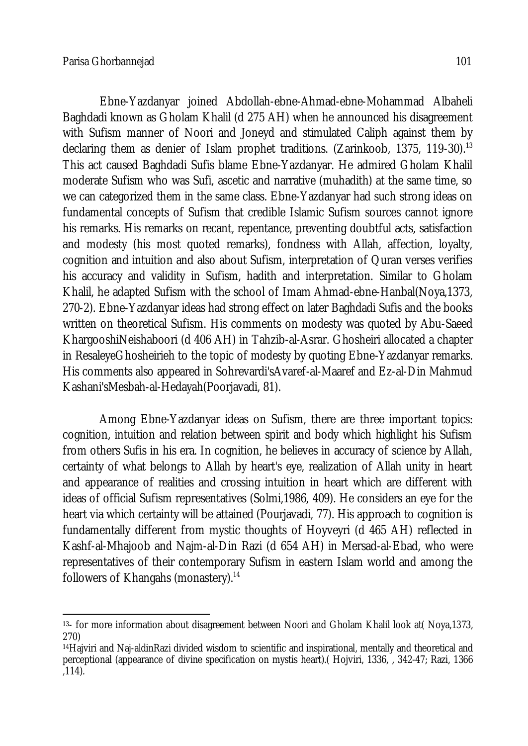Ebne-Yazdanyar joined Abdollah-ebne-Ahmad-ebne-Mohammad Albaheli Baghdadi known as Gholam Khalil (d 275 AH) when he announced his disagreement with Sufism manner of Noori and Joneyd and stimulated Caliph against them by declaring them as denier of Islam prophet traditions. (Zarinkoob, 1375, 119-30).<sup>13</sup> This act caused Baghdadi Sufis blame Ebne-Yazdanyar. He admired Gholam Khalil moderate Sufism who was Sufi, ascetic and narrative (muhadith) at the same time, so we can categorized them in the same class. Ebne-Yazdanyar had such strong ideas on fundamental concepts of Sufism that credible Islamic Sufism sources cannot ignore his remarks. His remarks on recant, repentance, preventing doubtful acts, satisfaction and modesty (his most quoted remarks), fondness with Allah, affection, loyalty, cognition and intuition and also about Sufism, interpretation of Quran verses verifies his accuracy and validity in Sufism, hadith and interpretation. Similar to Gholam Khalil, he adapted Sufism with the school of Imam Ahmad-ebne-Hanbal(Noya,1373, 270-2). Ebne-Yazdanyar ideas had strong effect on later Baghdadi Sufis and the books written on theoretical Sufism. His comments on modesty was quoted by Abu-Saeed KhargooshiNeishaboori (d 406 AH) in Tahzib-al-Asrar. Ghosheiri allocated a chapter in ResaleyeGhosheirieh to the topic of modesty by quoting Ebne-Yazdanyar remarks. His comments also appeared in Sohrevardi'sAvaref-al-Maaref and Ez-al-Din Mahmud Kashani'sMesbah-al-Hedayah(Poorjavadi, 81).

Among Ebne-Yazdanyar ideas on Sufism, there are three important topics: cognition, intuition and relation between spirit and body which highlight his Sufism from others Sufis in his era. In cognition, he believes in accuracy of science by Allah, certainty of what belongs to Allah by heart's eye, realization of Allah unity in heart and appearance of realities and crossing intuition in heart which are different with ideas of official Sufism representatives (Solmi,1986, 409). He considers an eye for the heart via which certainty will be attained (Pourjavadi, 77). His approach to cognition is fundamentally different from mystic thoughts of Hoyveyri (d 465 AH) reflected in Kashf-al-Mhajoob and Najm-al-Din Razi (d 654 AH) in Mersad-al-Ebad, who were representatives of their contemporary Sufism in eastern Islam world and among the followers of Khangahs (monastery).<sup>14</sup>

 $\overline{\phantom{a}}$ <sup>13</sup>- for more information about disagreement between Noori and Gholam Khalil look at( Noya,1373, 270)

<sup>14</sup>Hajviri and Naj-aldinRazi divided wisdom to scientific and inspirational, mentally and theoretical and perceptional (appearance of divine specification on mystis heart).( Hojviri, 1336, , 342-47; Razi, 1366 ,114).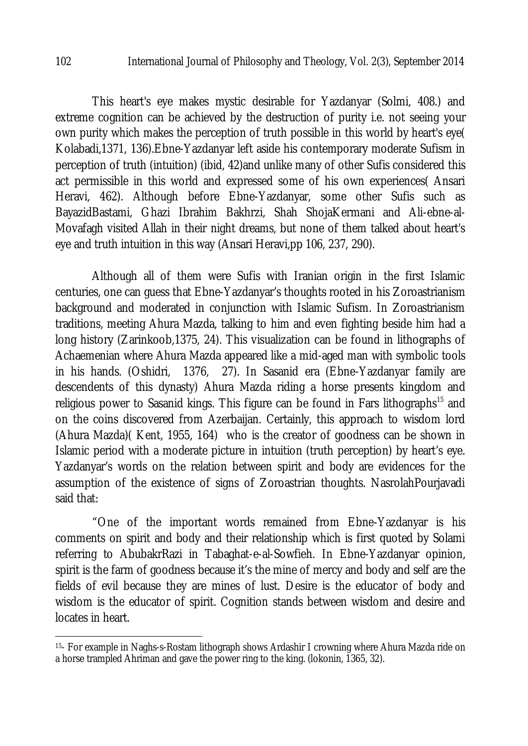This heart's eye makes mystic desirable for Yazdanyar (Solmi, 408.) and extreme cognition can be achieved by the destruction of purity i.e. not seeing your own purity which makes the perception of truth possible in this world by heart's eye( Kolabadi,1371, 136).Ebne-Yazdanyar left aside his contemporary moderate Sufism in perception of truth (intuition) (ibid, 42)and unlike many of other Sufis considered this act permissible in this world and expressed some of his own experiences( Ansari Heravi, 462). Although before Ebne-Yazdanyar, some other Sufis such as BayazidBastami, Ghazi Ibrahim Bakhrzi, Shah ShojaKermani and Ali-ebne-al-Movafagh visited Allah in their night dreams, but none of them talked about heart's eye and truth intuition in this way (Ansari Heravi,pp 106, 237, 290).

Although all of them were Sufis with Iranian origin in the first Islamic centuries, one can guess that Ebne-Yazdanyar's thoughts rooted in his Zoroastrianism background and moderated in conjunction with Islamic Sufism. In Zoroastrianism traditions, meeting Ahura Mazda, talking to him and even fighting beside him had a long history (Zarinkoob,1375, 24). This visualization can be found in lithographs of Achaemenian where Ahura Mazda appeared like a mid-aged man with symbolic tools in his hands. (Oshidri, 1376, 27). In Sasanid era (Ebne-Yazdanyar family are descendents of this dynasty) Ahura Mazda riding a horse presents kingdom and religious power to Sasanid kings. This figure can be found in Fars lithographs<sup>15</sup> and on the coins discovered from Azerbaijan. Certainly, this approach to wisdom lord (Ahura Mazda)( Kent, 1955, 164) who is the creator of goodness can be shown in Islamic period with a moderate picture in intuition (truth perception) by heart's eye. Yazdanyar's words on the relation between spirit and body are evidences for the assumption of the existence of signs of Zoroastrian thoughts. NasrolahPourjavadi said that:

"One of the important words remained from Ebne-Yazdanyar is his comments on spirit and body and their relationship which is first quoted by Solami referring to AbubakrRazi in Tabaghat-e-al-Sowfieh. In Ebne-Yazdanyar opinion, spirit is the farm of goodness because it's the mine of mercy and body and self are the fields of evil because they are mines of lust. Desire is the educator of body and wisdom is the educator of spirit. Cognition stands between wisdom and desire and locates in heart.

 $\overline{a}$ 

<sup>&</sup>lt;sup>15</sup>- For example in Naghs-s-Rostam lithograph shows Ardashir I crowning where Ahura Mazda ride on a horse trampled Ahriman and gave the power ring to the king. (lokonin, 1365, 32).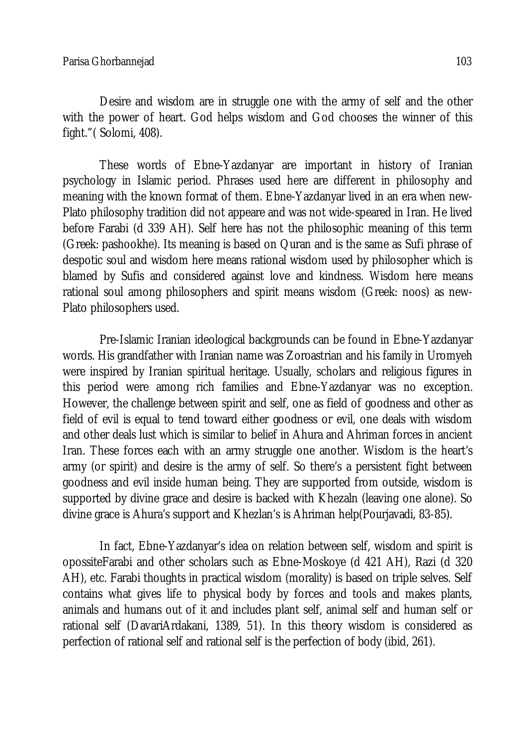Desire and wisdom are in struggle one with the army of self and the other with the power of heart. God helps wisdom and God chooses the winner of this fight."( Solomi, 408).

These words of Ebne-Yazdanyar are important in history of Iranian psychology in Islamic period. Phrases used here are different in philosophy and meaning with the known format of them. Ebne-Yazdanyar lived in an era when new-Plato philosophy tradition did not appeare and was not wide-speared in Iran. He lived before Farabi (d 339 AH). Self here has not the philosophic meaning of this term (Greek: pashookhe). Its meaning is based on Quran and is the same as Sufi phrase of despotic soul and wisdom here means rational wisdom used by philosopher which is blamed by Sufis and considered against love and kindness. Wisdom here means rational soul among philosophers and spirit means wisdom (Greek: noos) as new-Plato philosophers used.

Pre-Islamic Iranian ideological backgrounds can be found in Ebne-Yazdanyar words. His grandfather with Iranian name was Zoroastrian and his family in Uromyeh were inspired by Iranian spiritual heritage. Usually, scholars and religious figures in this period were among rich families and Ebne-Yazdanyar was no exception. However, the challenge between spirit and self, one as field of goodness and other as field of evil is equal to tend toward either goodness or evil, one deals with wisdom and other deals lust which is similar to belief in Ahura and Ahriman forces in ancient Iran. These forces each with an army struggle one another. Wisdom is the heart's army (or spirit) and desire is the army of self. So there's a persistent fight between goodness and evil inside human being. They are supported from outside, wisdom is supported by divine grace and desire is backed with Khezaln (leaving one alone). So divine grace is Ahura's support and Khezlan's is Ahriman help(Pourjavadi, 83-85).

In fact, Ebne-Yazdanyar's idea on relation between self, wisdom and spirit is opossiteFarabi and other scholars such as Ebne-Moskoye (d 421 AH), Razi (d 320 AH), etc. Farabi thoughts in practical wisdom (morality) is based on triple selves. Self contains what gives life to physical body by forces and tools and makes plants, animals and humans out of it and includes plant self, animal self and human self or rational self (DavariArdakani, 1389, 51). In this theory wisdom is considered as perfection of rational self and rational self is the perfection of body (ibid, 261).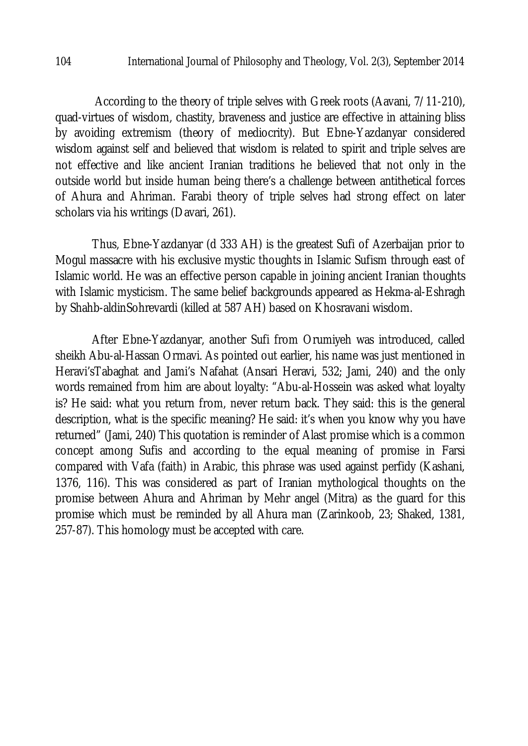According to the theory of triple selves with Greek roots (Aavani, 7/11-210), quad-virtues of wisdom, chastity, braveness and justice are effective in attaining bliss by avoiding extremism (theory of mediocrity). But Ebne-Yazdanyar considered wisdom against self and believed that wisdom is related to spirit and triple selves are not effective and like ancient Iranian traditions he believed that not only in the outside world but inside human being there's a challenge between antithetical forces of Ahura and Ahriman. Farabi theory of triple selves had strong effect on later scholars via his writings (Davari, 261).

Thus, Ebne-Yazdanyar (d 333 AH) is the greatest Sufi of Azerbaijan prior to Mogul massacre with his exclusive mystic thoughts in Islamic Sufism through east of Islamic world. He was an effective person capable in joining ancient Iranian thoughts with Islamic mysticism. The same belief backgrounds appeared as Hekma-al-Eshragh by Shahb-aldinSohrevardi (killed at 587 AH) based on Khosravani wisdom.

After Ebne-Yazdanyar, another Sufi from Orumiyeh was introduced, called sheikh Abu-al-Hassan Ormavi. As pointed out earlier, his name was just mentioned in Heravi'sTabaghat and Jami's Nafahat (Ansari Heravi, 532; Jami, 240) and the only words remained from him are about loyalty: "Abu-al-Hossein was asked what loyalty is? He said: what you return from, never return back. They said: this is the general description, what is the specific meaning? He said: it's when you know why you have returned" (Jami, 240) This quotation is reminder of Alast promise which is a common concept among Sufis and according to the equal meaning of promise in Farsi compared with Vafa (faith) in Arabic, this phrase was used against perfidy (Kashani, 1376, 116). This was considered as part of Iranian mythological thoughts on the promise between Ahura and Ahriman by Mehr angel (Mitra) as the guard for this promise which must be reminded by all Ahura man (Zarinkoob, 23; Shaked, 1381, 257-87). This homology must be accepted with care.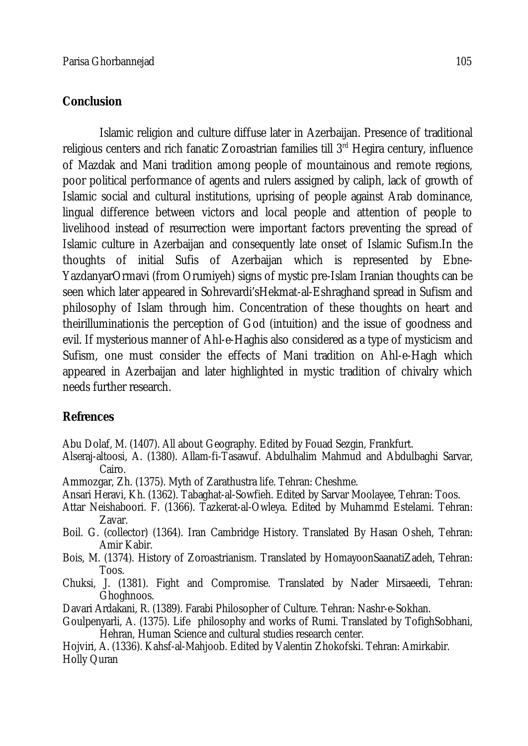## **Conclusion**

Islamic religion and culture diffuse later in Azerbaijan. Presence of traditional religious centers and rich fanatic Zoroastrian families till  $3<sup>rd</sup>$  Hegira century, influence of Mazdak and Mani tradition among people of mountainous and remote regions, poor political performance of agents and rulers assigned by caliph, lack of growth of Islamic social and cultural institutions, uprising of people against Arab dominance, lingual difference between victors and local people and attention of people to livelihood instead of resurrection were important factors preventing the spread of Islamic culture in Azerbaijan and consequently late onset of Islamic Sufism.In the thoughts of initial Sufis of Azerbaijan which is represented by Ebne-YazdanyarOrmavi (from Orumiyeh) signs of mystic pre-Islam Iranian thoughts can be seen which later appeared in Sohrevardi'sHekmat-al-Eshraghand spread in Sufism and philosophy of Islam through him. Concentration of these thoughts on heart and theirilluminationis the perception of God (intuition) and the issue of goodness and evil. If mysterious manner of Ahl-e-Haghis also considered as a type of mysticism and Sufism, one must consider the effects of Mani tradition on Ahl-e-Hagh which appeared in Azerbaijan and later highlighted in mystic tradition of chivalry which needs further research.

# **Refrences**

Abu Dolaf, M. (1407). All about Geography. Edited by Fouad Sezgin, Frankfurt.

- Alseraj-altoosi, A. (1380). Allam-fi-Tasawuf. Abdulhalim Mahmud and Abdulbaghi Sarvar, Cairo.
- Ammozgar, Zh. (1375). Myth of Zarathustra life. Tehran: Cheshme.
- Ansari Heravi, Kh. (1362). Tabaghat-al-Sowfieh. Edited by Sarvar Moolayee, Tehran: Toos.
- Attar Neishaboori. F. (1366). Tazkerat-al-Owleya. Edited by Muhammd Estelami. Tehran: Zavar.
- Boil. G. (collector) (1364). Iran Cambridge History. Translated By Hasan Osheh, Tehran: Amir Kabir.
- Bois, M. (1374). History of Zoroastrianism. Translated by HomayoonSaanatiZadeh, Tehran: Toos.
- Chuksi, J. (1381). Fight and Compromise. Translated by Nader Mirsaeedi, Tehran: Ghoghnoos.
- Davari Ardakani, R. (1389). Farabi Philosopher of Culture. Tehran: Nashr-e-Sokhan.
- Goulpenyarli, A. (1375). Life philosophy and works of Rumi. Translated by TofighSobhani, Hehran, Human Science and cultural studies research center.
- Hojviri, A. (1336). Kahsf-al-Mahjoob. Edited by Valentin Zhokofski. Tehran: Amirkabir. Holly Quran